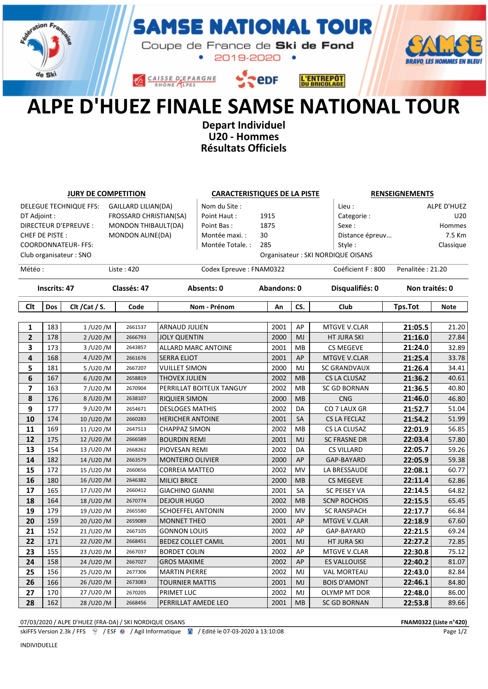

## **MSE NATIONAL TOUR** S,

Coupe de France de Ski de Fond  $\bullet$ 2019-2020 •



**SepF** CAISSE D'EPARGNE



## ALPE D'HUEZ FINALE SAMSE NATIONAL TOUR

Depart Individuel U20 - Hommes Résultats Officiels

| <b>JURY DE COMPETITION</b>                           |                              |                        |             | <b>CARACTERISTIQUES DE LA PISTE</b> |                         |             |           |           | <b>RENSEIGNEMENTS</b>             |                                       |                |  |
|------------------------------------------------------|------------------------------|------------------------|-------------|-------------------------------------|-------------------------|-------------|-----------|-----------|-----------------------------------|---------------------------------------|----------------|--|
| DELEGUE TECHNIQUE FFS:<br><b>GAILLARD LILIAN(DA)</b> |                              |                        |             | Nom du Site:                        |                         |             |           | Lieu:     |                                   | ALPE D'HUEZ                           |                |  |
| DT Adjoint :<br>FROSSARD CHRISTIAN(SA)               |                              |                        |             |                                     | Point Haut:             | 1915        |           |           | Categorie:                        |                                       | U20            |  |
| DIRECTEUR D'EPREUVE :<br>MONDON THIBAULT(DA)         |                              |                        |             |                                     | 1875<br>Point Bas:      |             |           |           | Sexe:                             | Hommes                                |                |  |
| CHEF DE PISTE:<br>MONDON ALINE(DA)                   |                              |                        |             |                                     | 30<br>Montée maxi. :    |             |           |           |                                   | 7.5 Km<br>Distance épreuv             |                |  |
| <b>COORDONNATEUR- FFS:</b>                           |                              |                        |             | 285<br>Montée Totale. :             |                         |             |           | Style:    |                                   | Classique                             |                |  |
|                                                      |                              | Club organisateur: SNO |             |                                     |                         |             |           |           | Organisateur: SKI NORDIQUE OISANS |                                       |                |  |
| Météo :<br>Liste: 420                                |                              |                        |             |                                     | Codex Epreuve: FNAM0322 |             |           |           |                                   | Penalitée: 21.20<br>Coéficient F: 800 |                |  |
| <b>Inscrits: 47</b>                                  |                              |                        | Classés: 47 |                                     | Absents: 0              | Abandons: 0 |           |           | Disqualifiés: 0                   |                                       | Non traités: 0 |  |
| Clt                                                  | <b>Dos</b><br>Clt / Cat / S. |                        | Code        |                                     | Nom - Prénom            |             | CS.<br>An |           | Club                              | <b>Tps.Tot</b>                        | <b>Note</b>    |  |
|                                                      |                              |                        |             |                                     |                         |             |           |           |                                   |                                       |                |  |
| 1                                                    | 183                          | 1/U20/M                | 2661537     | <b>ARNAUD JULIEN</b>                |                         | 2001        |           | AP        | <b>MTGVE V.CLAR</b>               | 21:05.5                               | 21.20          |  |
| $\mathbf{2}$                                         | 178                          | 2/U20/M                | 2666793     | <b>JOLY QUENTIN</b>                 |                         | 2000        |           | MJ        | <b>HT JURA SKI</b>                | 21:16.0                               | 27.84          |  |
| 3                                                    | 173                          | 3 / U20 / M            | 2643857     | <b>ALLARD MARC ANTOINE</b>          |                         | 2001        |           | MB        | <b>CS MEGEVE</b>                  | 21:24.0                               | 32.89          |  |
| 4                                                    | 168                          | 4/U20/M                | 2661676     | <b>SERRA ELIOT</b>                  |                         | 2001        |           | AP        | MTGVE V.CLAR                      | 21:25.4                               | 33.78          |  |
| 5                                                    | 181                          | 5/U20/M                | 2667207     | <b>VUILLET SIMON</b>                |                         | 2000        |           | MJ        | <b>SC GRANDVAUX</b>               | 21:26.4                               | 34.41          |  |
| 6                                                    | 167                          | $6/$ U20/M             | 2658819     | <b>THOVEX JULIEN</b>                |                         | 2002        |           | MB        | <b>CS LA CLUSAZ</b>               | 21:36.2                               | 40.61          |  |
| $\overline{\phantom{a}}$                             | 163                          | 7/U20/M                | 2670904     | PERRILLAT BOITEUX TANGUY            |                         | 2002        |           | MB        | <b>SC GD BORNAN</b>               | 21:36.5                               | 40.80          |  |
| 8                                                    | 176                          | 8/U20/M                | 2638107     | <b>RIQUIER SIMON</b>                |                         | 2000        |           | MB        | <b>CNG</b>                        | 21:46.0                               | 46.80          |  |
| 9                                                    | 177                          | 9/U20/M                | 2654671     | <b>DESLOGES MATHIS</b>              |                         | 2002        |           | DA        | CO 7 LAUX GR                      | 21:52.7                               | 51.04          |  |
| 10                                                   | 174                          | 10/U20/M               | 2660283     | <b>HERICHER ANTOINE</b>             |                         | 2001        |           | SA        | <b>CS LA FECLAZ</b>               | 21:54.2                               | 51.99          |  |
| 11                                                   | 169                          | 11/U20/M               | 2647513     | <b>CHAPPAZ SIMON</b>                |                         | 2002        |           | MB        | CS LA CLUSAZ                      | 22:01.9                               | 56.85          |  |
| 12                                                   | 175                          | 12/U20/M               | 2666589     | <b>BOURDIN REMI</b>                 |                         | 2001        |           | MJ        | <b>SC FRASNE DR</b>               | 22:03.4                               | 57.80          |  |
| 13                                                   | 154                          | 13/U20/M               | 2668262     | PIOVESAN REMI                       |                         | 2002        |           | DA        | <b>CS VILLARD</b>                 | 22:05.7                               | 59.26          |  |
| 14                                                   | 182                          | 14/U20/M               | 2663579     | <b>MONTEIRO OLIVIER</b>             |                         | 2000        |           | AP        | GAP-BAYARD                        | 22:05.9                               | 59.38          |  |
| 15                                                   | 172                          | 15/U20/M               | 2660656     | <b>CORREIA MATTEO</b>               |                         | 2002        |           | MV        | LA BRESSAUDE                      | 22:08.1                               | 60.77          |  |
| 16                                                   | 180                          | 16/U20/M               | 2646382     | <b>MILICI BRICE</b>                 |                         | 2000        |           | <b>MB</b> | <b>CS MEGEVE</b>                  | 22:11.4                               | 62.86          |  |
| 17                                                   | 165                          | 17/U20/M               | 2660412     | <b>GIACHINO GIANNI</b>              |                         | 2001        |           | <b>SA</b> | <b>SC PEISEY VA</b>               | 22:14.5                               | 64.82          |  |
| 18                                                   | 164                          | 18/U20/M               | 2670774     | <b>DEJOUR HUGO</b>                  |                         | 2002        |           | MB        | <b>SCNP ROCHOIS</b>               | 22:15.5                               | 65.45          |  |
| 19                                                   | 179                          | 19/U20/M               | 2665580     | <b>SCHOEFFEL ANTONIN</b>            |                         | 2000        |           | MV        | <b>SC RANSPACH</b>                | 22:17.7                               | 66.84          |  |
| 20                                                   | 159                          | 20/U20/M               | 2659089     | <b>MONNET THEO</b>                  |                         | 2001        |           | AP        | <b>MTGVE V.CLAR</b>               | 22:18.9                               | 67.60          |  |
| 21                                                   | 152                          | 21/U20/M               | 2667105     | <b>GONNON LOUIS</b>                 |                         | 2002        |           | AP        | GAP-BAYARD                        | 22:21.5                               | 69.24          |  |
| 22                                                   | 171                          | 22/U20/M               | 2668451     | <b>BEDEZ COLLET CAMIL</b>           |                         | 2001        |           | MJ        | <b>HT JURA SKI</b>                | 22:27.2                               | 72.85          |  |
| 23                                                   | 155                          | 23/U20/M               | 2667037     | <b>BORDET COLIN</b>                 |                         | 2002        |           | AP        | MTGVE V.CLAR                      | 22:30.8                               | 75.12          |  |
| 24                                                   | 158                          | 24/U20/M               | 2667027     | <b>GROS MAXIME</b>                  |                         | 2002        |           | AP        | <b>ES VALLOUISE</b>               | 22:40.2                               | 81.07          |  |
| 25                                                   | 156                          | 25/U20/M               | 2677306     | <b>MARTIN PIERRE</b>                |                         | 2002        |           | MJ        | <b>VAL MORTEAU</b>                | 22:43.0                               | 82.84          |  |
| 26                                                   | 166                          | 26/U20/M               | 2673083     | <b>TOURNIER MATTIS</b>              |                         | 2001        |           | MJ        | <b>BOIS D'AMONT</b>               | 22:46.1                               | 84.80          |  |
| 27                                                   | 170                          | 27/U20/M               | 2670205     | PRIMET LUC                          |                         | 2002        |           | MJ        | <b>OLYMP MT DOR</b>               | 22:48.0                               | 86.00          |  |
| 28                                                   | 162                          | 28/U20/M               | 2668456     | PERRILLAT AMEDE LEO                 |                         | 2001        |           | <b>MB</b> | <b>SC GD BORNAN</b>               | 22:53.8                               | 89.66          |  |

07/03/2020 / ALPE D'HUEZ (FRA-DA) / SKI NORDIQUE OISANS FOR A SANTO THE SANTO THE SANTO THE SANTO THE SANTO THE SANTO THE SANTO THE SANTO THE SANTO THE SANTO THE SANTO THE SANTO THE SANTO THE SANTO THE SANTO THE SANTO THE

INDIVIDUELLE